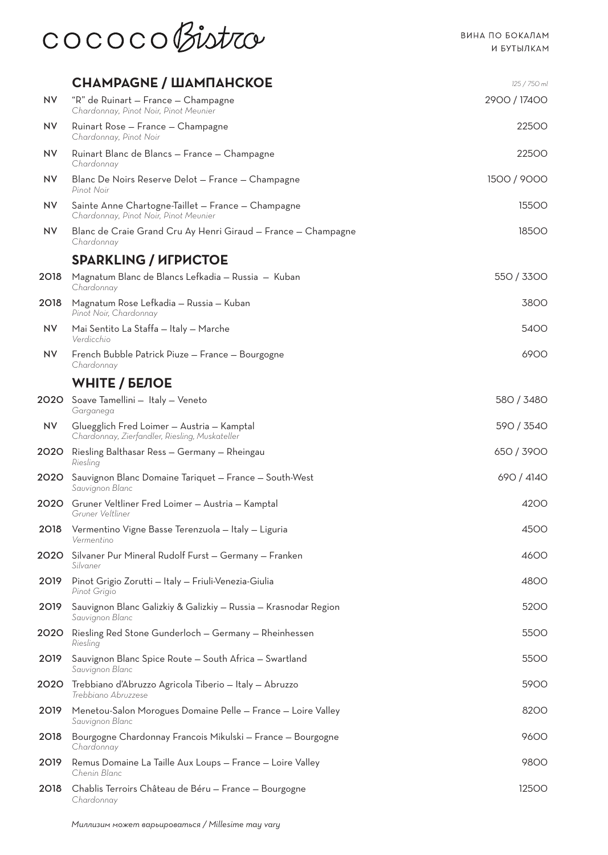

|           | <b>CHAMPAGNE / ШАМПАНСКОЕ</b>                                                                | 125 / 750 ml |
|-----------|----------------------------------------------------------------------------------------------|--------------|
| <b>NV</b> | "R" de Ruinart - France - Champagne<br>Chardonnay, Pinot Noir, Pinot Meunier                 | 2900 / 17400 |
| <b>NV</b> | Ruinart Rose - France - Champagne<br>Chardonnay, Pinot Noir                                  | 22500        |
| <b>NV</b> | Ruinart Blanc de Blancs - France - Champagne<br>Chardonnay                                   | 22500        |
| <b>NV</b> | Blanc De Noirs Reserve Delot - France - Champagne<br>Pinot Noir                              | 1500 / 9000  |
| <b>NV</b> | Sainte Anne Chartogne-Taillet - France - Champagne<br>Chardonnay, Pinot Noir, Pinot Meunier  | 15500        |
| <b>NV</b> | Blanc de Craie Grand Cru Ay Henri Giraud - France - Champagne<br>Chardonnay                  | 18500        |
|           | <b>SPARKLING / ИГРИСТОЕ</b>                                                                  |              |
| 2018      | Magnatum Blanc de Blancs Lefkadia - Russia - Kuban<br>Chardonnay                             | 550 / 3300   |
| 2018      | Magnatum Rose Lefkadia - Russia - Kuban<br>Pinot Noir, Chardonnay                            | 3800         |
| <b>NV</b> | Mai Sentito La Staffa - Italy - Marche<br>Verdicchio                                         | 5400         |
| <b>NV</b> | French Bubble Patrick Piuze - France - Bourgogne<br>Chardonnay                               | 6900         |
|           | <b>WHITE / БЕЛОЕ</b>                                                                         |              |
|           | 2020 Soave Tamellini - Italy - Veneto<br>Garganega                                           | 580 / 3480   |
| <b>NV</b> | Gluegglich Fred Loimer - Austria - Kamptal<br>Chardonnay, Zierfandler, Riesling, Muskateller | 590 / 3540   |
| 2020      | Riesling Balthasar Ress - Germany - Rheingau<br>Riesling                                     | 650 / 3900   |
| 2020      | Sauvignon Blanc Domaine Tariquet - France - South-West<br>Sauvignon Blanc                    | 690 / 4140   |
| 2020      | Gruner Veltliner Fred Loimer - Austria - Kamptal<br>Gruner Veltliner                         | 4200         |
| 2018      | Vermentino Vigne Basse Terenzuola - Italy - Liguria<br>Vermentino                            | 4500         |
| 2020      | Silvaner Pur Mineral Rudolf Furst - Germany - Franken<br>Silvaner                            | 4600         |
| 2019      | Pinot Grigio Zorutti - Italy - Friuli-Venezia-Giulia<br>Pinot Grigio                         | 4800         |
| 2019      | Sauvignon Blanc Galizkiy & Galizkiy - Russia - Krasnodar Region<br>Sauvignon Blanc           | 5200         |
| 2020      | Riesling Red Stone Gunderloch - Germany - Rheinhessen<br>Riesling                            | 5500         |
| 2019      | Sauvignon Blanc Spice Route - South Africa - Swartland<br>Sauvignon Blanc                    | 5500         |
| 2020      | Trebbiano d'Abruzzo Agricola Tiberio – Italy – Abruzzo<br>Trebbiano Abruzzese                | 5900         |
| 2019      | Menetou-Salon Morogues Domaine Pelle - France - Loire Valley<br>Sauvignon Blanc              | 8200         |
| 2018      | Bourgogne Chardonnay Francois Mikulski – France – Bourgogne<br>Chardonnay                    | 9600         |
| 2019      | Remus Domaine La Taille Aux Loups - France - Loire Valley<br>Chenin Blanc                    | 9800         |
| 2018      | Chablis Terroirs Château de Béru - France - Bourgogne<br>Chardonnay                          | 12500        |